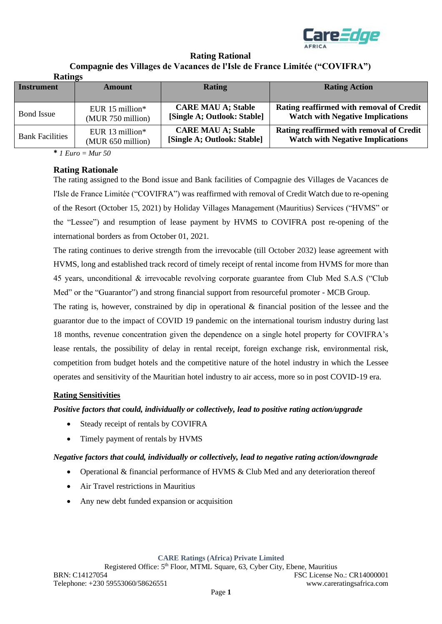

#### **Rating Rational Compagnie des Villages de Vacances de l'Isle de France Limitée ("COVIFRA") Ratings**

| Raumes                 |                   |                             |                                          |
|------------------------|-------------------|-----------------------------|------------------------------------------|
| <b>Instrument</b>      | Amount            | <b>Rating</b>               | <b>Rating Action</b>                     |
| <b>Bond</b> Issue      | EUR $15$ million* | <b>CARE MAU A; Stable</b>   | Rating reaffirmed with removal of Credit |
|                        | (MUR 750 million) | [Single A; Outlook: Stable] | <b>Watch with Negative Implications</b>  |
| <b>Bank Facilities</b> | EUR 13 million*   | <b>CARE MAU A; Stable</b>   | Rating reaffirmed with removal of Credit |
|                        | (MUR 650 million) | [Single A; Outlook: Stable] | <b>Watch with Negative Implications</b>  |

**\*** *1 Euro = Mur 50*

## **Rating Rationale**

The rating assigned to the Bond issue and Bank facilities of Compagnie des Villages de Vacances de l'Isle de France Limitée ("COVIFRA") was reaffirmed with removal of Credit Watch due to re-opening of the Resort (October 15, 2021) by Holiday Villages Management (Mauritius) Services ("HVMS" or the "Lessee") and resumption of lease payment by HVMS to COVIFRA post re-opening of the international borders as from October 01, 2021.

The rating continues to derive strength from the irrevocable (till October 2032) lease agreement with HVMS, long and established track record of timely receipt of rental income from HVMS for more than 45 years, unconditional & irrevocable revolving corporate guarantee from Club Med S.A.S ("Club Med" or the "Guarantor") and strong financial support from resourceful promoter - MCB Group.

The rating is, however, constrained by dip in operational & financial position of the lessee and the guarantor due to the impact of COVID 19 pandemic on the international tourism industry during last 18 months, revenue concentration given the dependence on a single hotel property for COVIFRA's lease rentals, the possibility of delay in rental receipt, foreign exchange risk, environmental risk, competition from budget hotels and the competitive nature of the hotel industry in which the Lessee operates and sensitivity of the Mauritian hotel industry to air access, more so in post COVID-19 era.

## **Rating Sensitivities**

*Positive factors that could, individually or collectively, lead to positive rating action/upgrade*

- Steady receipt of rentals by COVIFRA
- Timely payment of rentals by HVMS

## *Negative factors that could, individually or collectively, lead to negative rating action/downgrade*

- Operational & financial performance of HVMS & Club Med and any deterioration thereof
- Air Travel restrictions in Mauritius
- Any new debt funded expansion or acquisition

**CARE Ratings (Africa) Private Limited**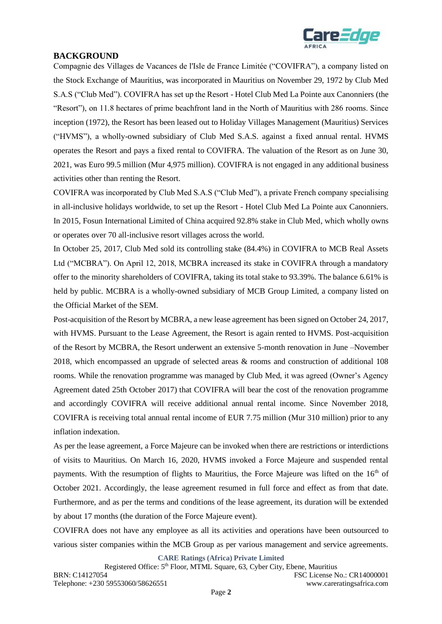

# **BACKGROUND**

Compagnie des Villages de Vacances de l'Isle de France Limitée ("COVIFRA"), a company listed on the Stock Exchange of Mauritius, was incorporated in Mauritius on November 29, 1972 by Club Med S.A.S ("Club Med"). COVIFRA has set up the Resort - Hotel Club Med La Pointe aux Canonniers (the "Resort"), on 11.8 hectares of prime beachfront land in the North of Mauritius with 286 rooms. Since inception (1972), the Resort has been leased out to Holiday Villages Management (Mauritius) Services ("HVMS"), a wholly-owned subsidiary of Club Med S.A.S. against a fixed annual rental. HVMS operates the Resort and pays a fixed rental to COVIFRA. The valuation of the Resort as on June 30, 2021, was Euro 99.5 million (Mur 4,975 million). COVIFRA is not engaged in any additional business activities other than renting the Resort.

COVIFRA was incorporated by Club Med S.A.S ("Club Med"), a private French company specialising in all-inclusive holidays worldwide, to set up the Resort - Hotel Club Med La Pointe aux Canonniers. In 2015, Fosun International Limited of China acquired 92.8% stake in Club Med, which wholly owns or operates over 70 all-inclusive resort villages across the world.

In October 25, 2017, Club Med sold its controlling stake (84.4%) in COVIFRA to MCB Real Assets Ltd ("MCBRA"). On April 12, 2018, MCBRA increased its stake in COVIFRA through a mandatory offer to the minority shareholders of COVIFRA, taking its total stake to 93.39%. The balance 6.61% is held by public. MCBRA is a wholly-owned subsidiary of MCB Group Limited, a company listed on the Official Market of the SEM.

Post-acquisition of the Resort by MCBRA, a new lease agreement has been signed on October 24, 2017, with HVMS. Pursuant to the Lease Agreement, the Resort is again rented to HVMS. Post-acquisition of the Resort by MCBRA, the Resort underwent an extensive 5-month renovation in June –November 2018, which encompassed an upgrade of selected areas & rooms and construction of additional 108 rooms. While the renovation programme was managed by Club Med, it was agreed (Owner's Agency Agreement dated 25th October 2017) that COVIFRA will bear the cost of the renovation programme and accordingly COVIFRA will receive additional annual rental income. Since November 2018, COVIFRA is receiving total annual rental income of EUR 7.75 million (Mur 310 million) prior to any inflation indexation.

As per the lease agreement, a Force Majeure can be invoked when there are restrictions or interdictions of visits to Mauritius. On March 16, 2020, HVMS invoked a Force Majeure and suspended rental payments. With the resumption of flights to Mauritius, the Force Majeure was lifted on the 16<sup>th</sup> of October 2021. Accordingly, the lease agreement resumed in full force and effect as from that date. Furthermore, and as per the terms and conditions of the lease agreement, its duration will be extended by about 17 months (the duration of the Force Majeure event).

COVIFRA does not have any employee as all its activities and operations have been outsourced to various sister companies within the MCB Group as per various management and service agreements.

**CARE Ratings (Africa) Private Limited**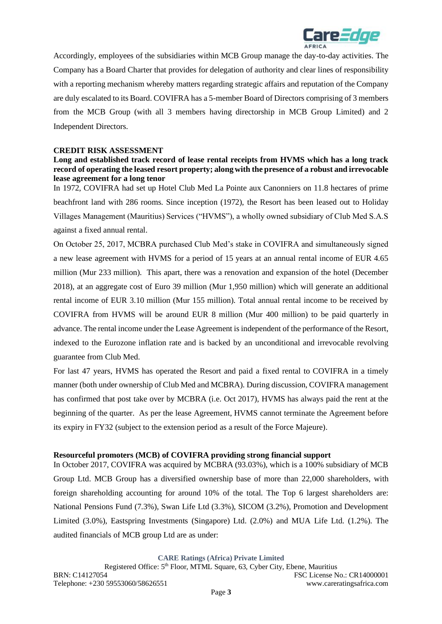

Accordingly, employees of the subsidiaries within MCB Group manage the day-to-day activities. The Company has a Board Charter that provides for delegation of authority and clear lines of responsibility with a reporting mechanism whereby matters regarding strategic affairs and reputation of the Company are duly escalated to its Board. COVIFRA has a 5-member Board of Directors comprising of 3 members from the MCB Group (with all 3 members having directorship in MCB Group Limited) and 2 Independent Directors.

### **CREDIT RISK ASSESSMENT**

### **Long and established track record of lease rental receipts from HVMS which has a long track record of operating the leased resort property; along with the presence of a robust and irrevocable lease agreement for a long tenor**

In 1972, COVIFRA had set up Hotel Club Med La Pointe aux Canonniers on 11.8 hectares of prime beachfront land with 286 rooms. Since inception (1972), the Resort has been leased out to Holiday Villages Management (Mauritius) Services ("HVMS"), a wholly owned subsidiary of Club Med S.A.S against a fixed annual rental.

On October 25, 2017, MCBRA purchased Club Med's stake in COVIFRA and simultaneously signed a new lease agreement with HVMS for a period of 15 years at an annual rental income of EUR 4.65 million (Mur 233 million). This apart, there was a renovation and expansion of the hotel (December 2018), at an aggregate cost of Euro 39 million (Mur 1,950 million) which will generate an additional rental income of EUR 3.10 million (Mur 155 million). Total annual rental income to be received by COVIFRA from HVMS will be around EUR 8 million (Mur 400 million) to be paid quarterly in advance. The rental income under the Lease Agreement is independent of the performance of the Resort, indexed to the Eurozone inflation rate and is backed by an unconditional and irrevocable revolving guarantee from Club Med.

For last 47 years, HVMS has operated the Resort and paid a fixed rental to COVIFRA in a timely manner (both under ownership of Club Med and MCBRA). During discussion, COVIFRA management has confirmed that post take over by MCBRA (i.e. Oct 2017), HVMS has always paid the rent at the beginning of the quarter. As per the lease Agreement, HVMS cannot terminate the Agreement before its expiry in FY32 (subject to the extension period as a result of the Force Majeure).

#### **Resourceful promoters (MCB) of COVIFRA providing strong financial support**

In October 2017, COVIFRA was acquired by MCBRA (93.03%), which is a 100% subsidiary of MCB Group Ltd. MCB Group has a diversified ownership base of more than 22,000 shareholders, with foreign shareholding accounting for around 10% of the total. The Top 6 largest shareholders are: National Pensions Fund (7.3%), Swan Life Ltd (3.3%), SICOM (3.2%), Promotion and Development Limited (3.0%), Eastspring Investments (Singapore) Ltd. (2.0%) and MUA Life Ltd. (1.2%). The audited financials of MCB group Ltd are as under: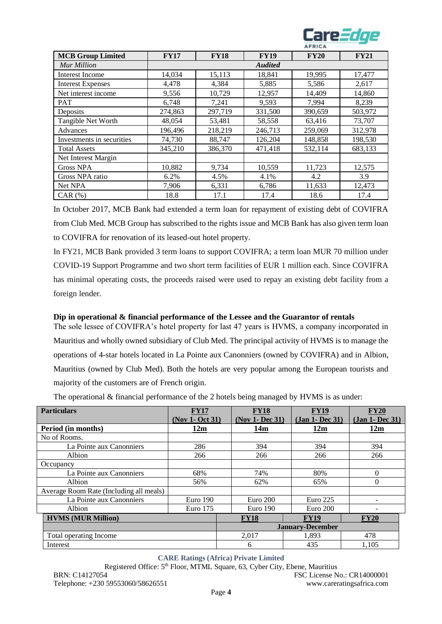

|                           |             |             |                | AFRICA      |             |
|---------------------------|-------------|-------------|----------------|-------------|-------------|
| <b>MCB Group Limited</b>  | <b>FY17</b> | <b>FY18</b> | <b>FY19</b>    | <b>FY20</b> | <b>FY21</b> |
| Mur Million               |             |             | <b>Audited</b> |             |             |
| <b>Interest Income</b>    | 14,034      | 15,113      | 18,841         | 19,995      | 17,477      |
| <b>Interest Expenses</b>  | 4,478       | 4,384       | 5,885          | 5,586       | 2,617       |
| Net interest income       | 9,556       | 10,729      | 12,957         | 14,409      | 14,860      |
| <b>PAT</b>                | 6,748       | 7,241       | 9,593          | 7,994       | 8,239       |
| Deposits                  | 274,863     | 297,719     | 331,500        | 390,659     | 503,972     |
| Tangible Net Worth        | 48,054      | 53,481      | 58,558         | 63,416      | 73,707      |
| Advances                  | 196,496     | 218,219     | 246,713        | 259,069     | 312,978     |
| Investments in securities | 74,730      | 88,747      | 126,204        | 148,858     | 198,530     |
| <b>Total Assets</b>       | 345,210     | 386,370     | 471,418        | 532,114     | 683,133     |
| Net Interest Margin       |             |             |                |             |             |
| <b>Gross NPA</b>          | 10,882      | 9,734       | 10,559         | 11,723      | 12,575      |
| Gross NPA ratio           | 6.2%        | 4.5%        | 4.1%           | 4.2         | 3.9         |
| Net NPA                   | 7,906       | 6,331       | 6,786          | 11,633      | 12,473      |
| $CAR$ $(\%)$              | 18.8        | 17.1        | 17.4           | 18.6        | 17.4        |

In October 2017, MCB Bank had extended a term loan for repayment of existing debt of COVIFRA from Club Med. MCB Group has subscribed to the rights issue and MCB Bank has also given term loan to COVIFRA for renovation of its leased-out hotel property.

In FY21, MCB Bank provided 3 term loans to support COVIFRA; a term loan MUR 70 million under COVID-19 Support Programme and two short term facilities of EUR 1 million each. Since COVIFRA has minimal operating costs, the proceeds raised were used to repay an existing debt facility from a foreign lender.

### **Dip in operational & financial performance of the Lessee and the Guarantor of rentals**

The sole lessee of COVIFRA's hotel property for last 47 years is HVMS, a company incorporated in Mauritius and wholly owned subsidiary of Club Med. The principal activity of HVMS is to manage the operations of 4-star hotels located in La Pointe aux Canonniers (owned by COVIFRA) and in Albion, Mauritius (owned by Club Med). Both the hotels are very popular among the European tourists and majority of the customers are of French origin.

The operational  $\&$  financial performance of the 2 hotels being managed by HVMS is as under:

| <b>Particulars</b>                      | <b>FY17</b>     | <b>FY18</b>     | <b>FY19</b>             | <b>FY20</b>     |
|-----------------------------------------|-----------------|-----------------|-------------------------|-----------------|
|                                         | (Nov 1- Oct 31) | (Nov 1- Dec 31) | (Jan 1- Dec 31)         | (Jan 1- Dec 31) |
| Period (in months)                      | 12m             | 14m             | 12m                     | 12m             |
| No of Rooms.                            |                 |                 |                         |                 |
| La Pointe aux Canonniers                | 286             | 394             | 394                     | 394             |
| Albion                                  | 266             | 266             | 266                     | 266             |
| Occupancy                               |                 |                 |                         |                 |
| La Pointe aux Canonniers                | 68%             | 74%             | 80%                     | 0               |
| Albion                                  | 56%             | 62%             | 65%                     | 0               |
| Average Room Rate (Including all meals) |                 |                 |                         |                 |
| La Pointe aux Canonniers                | Euro 190        | Euro 200        | Euro $225$              |                 |
| Albion                                  | Euro $175$      | Euro 190        | Euro 200                |                 |
| <b>HVMS (MUR Million)</b>               |                 | <b>FY18</b>     | <b>FY19</b>             | <b>FY20</b>     |
|                                         |                 |                 | <b>January-December</b> |                 |
| Total operating Income                  |                 | 2,017           | 1,893                   | 478             |
| Interest                                |                 | 6               | 435                     | 1.105           |

**CARE Ratings (Africa) Private Limited**

Registered Office: 5<sup>th</sup> Floor, MTML Square, 63, Cyber City, Ebene, Mauritius

BRN: C14127054 FSC License No.: CR14000001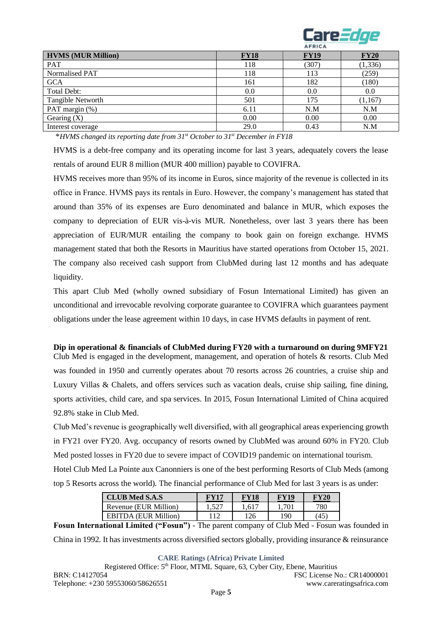

|                           |             | AFRICA      |             |
|---------------------------|-------------|-------------|-------------|
| <b>HVMS (MUR Million)</b> | <b>FY18</b> | <b>FY19</b> | <b>FY20</b> |
| <b>PAT</b>                | 118         | (307)       | (1, 336)    |
| Normalised PAT            | 118         | 113         | (259)       |
| <b>GCA</b>                | 161         | 182         | (180)       |
| Total Debt:               | 0.0         | 0.0         | 0.0         |
| Tangible Networth         | 501         | 175         | (1, 167)    |
| PAT margin (%)            | 6.11        | N.M         | N.M         |
| Gearing $(X)$             | 0.00        | 0.00        | 0.00        |
| Interest coverage         | 29.0        | 0.43        | N.M         |

\**HVMS changed its reporting date from 31st October to 31st December in FY18*

HVMS is a debt-free company and its operating income for last 3 years, adequately covers the lease rentals of around EUR 8 million (MUR 400 million) payable to COVIFRA.

HVMS receives more than 95% of its income in Euros, since majority of the revenue is collected in its office in France. HVMS pays its rentals in Euro. However, the company's management has stated that around than 35% of its expenses are Euro denominated and balance in MUR, which exposes the company to depreciation of EUR vis-à-vis MUR. Nonetheless, over last 3 years there has been appreciation of EUR/MUR entailing the company to book gain on foreign exchange. HVMS management stated that both the Resorts in Mauritius have started operations from October 15, 2021. The company also received cash support from ClubMed during last 12 months and has adequate liquidity.

This apart Club Med (wholly owned subsidiary of Fosun International Limited) has given an unconditional and irrevocable revolving corporate guarantee to COVIFRA which guarantees payment obligations under the lease agreement within 10 days, in case HVMS defaults in payment of rent.

## **Dip in operational & financials of ClubMed during FY20 with a turnaround on during 9MFY21**

Club Med is engaged in the development, management, and operation of hotels & resorts. Club Med was founded in 1950 and currently operates about 70 resorts across 26 countries, a cruise ship and Luxury Villas & Chalets, and offers services such as vacation deals, cruise ship sailing, fine dining, sports activities, child care, and spa services. In 2015, Fosun International Limited of China acquired 92.8% stake in Club Med.

Club Med's revenue is geographically well diversified, with all geographical areas experiencing growth in FY21 over FY20. Avg. occupancy of resorts owned by ClubMed was around 60% in FY20. Club Med posted losses in FY20 due to severe impact of COVID19 pandemic on international tourism. Hotel Club Med La Pointe aux Canonniers is one of the best performing Resorts of Club Meds (among top 5 Resorts across the world). The financial performance of Club Med for last 3 years is as under:

| <b>CLUB</b> Med S.A.S       | FV17 | FY18    | <b>FY19</b>                               | FY20 |
|-----------------------------|------|---------|-------------------------------------------|------|
| Revenue (EUR Million)       | 527  | $.61^-$ | .70                                       | 780  |
| <b>EBITDA</b> (EUR Million) | 112  | 126     | 190                                       | 45   |
| $\sim$ $\sim$               | ___  |         | $\sim$ $\sim$ $\sim$ $\sim$ $\sim$ $\sim$ |      |

**Fosun International Limited ("Fosun")** - The parent company of Club Med - Fosun was founded in China in 1992. It has investments across diversified sectors globally, providing insurance & reinsurance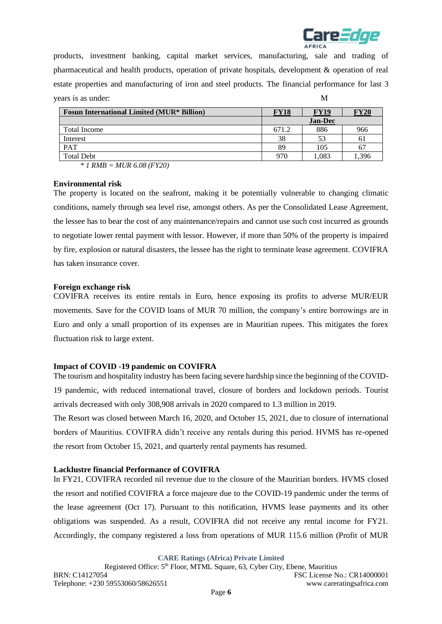

products, investment banking, capital market services, manufacturing, sale and trading of pharmaceutical and health products, operation of private hospitals, development & operation of real estate properties and manufacturing of iron and steel products. The financial performance for last 3 years is as under: M

| <b>Fosun International Limited (MUR* Billion)</b> | FY18  | <b>FY19</b>    | <b>FY20</b> |
|---------------------------------------------------|-------|----------------|-------------|
|                                                   |       | <b>Jan-Dec</b> |             |
| Total Income                                      | 671.2 | 886            | 966         |
| Interest                                          | 38    | 53             | 61          |
| PAT                                               | 89    | 105            | 67          |
| <b>Total Debt</b>                                 | 970   | 1.083          | .396        |

*\* 1 RMB = MUR 6.08 (FY20)*

#### **Environmental risk**

The property is located on the seafront, making it be potentially vulnerable to changing climatic conditions, namely through sea level rise, amongst others. As per the Consolidated Lease Agreement, the lessee has to bear the cost of any maintenance/repairs and cannot use such cost incurred as grounds to negotiate lower rental payment with lessor. However, if more than 50% of the property is impaired by fire, explosion or natural disasters, the lessee has the right to terminate lease agreement. COVIFRA has taken insurance cover.

### **Foreign exchange risk**

COVIFRA receives its entire rentals in Euro, hence exposing its profits to adverse MUR/EUR movements. Save for the COVID loans of MUR 70 million, the company's entire borrowings are in Euro and only a small proportion of its expenses are in Mauritian rupees. This mitigates the forex fluctuation risk to large extent.

### **Impact of COVID -19 pandemic on COVIFRA**

The tourism and hospitality industry has been facing severe hardship since the beginning of the COVID-19 pandemic, with reduced international travel, closure of borders and lockdown periods. Tourist arrivals decreased with only 308,908 arrivals in 2020 compared to 1.3 million in 2019.

The Resort was closed between March 16, 2020, and October 15, 2021, due to closure of international borders of Mauritius. COVIFRA didn't receive any rentals during this period. HVMS has re-opened the resort from October 15, 2021, and quarterly rental payments has resumed.

#### **Lacklustre financial Performance of COVIFRA**

In FY21, COVIFRA recorded nil revenue due to the closure of the Mauritian borders. HVMS closed the resort and notified COVIFRA a force majeure due to the COVID-19 pandemic under the terms of the lease agreement (Oct 17). Pursuant to this notification, HVMS lease payments and its other obligations was suspended. As a result, COVIFRA did not receive any rental income for FY21. Accordingly, the company registered a loss from operations of MUR 115.6 million (Profit of MUR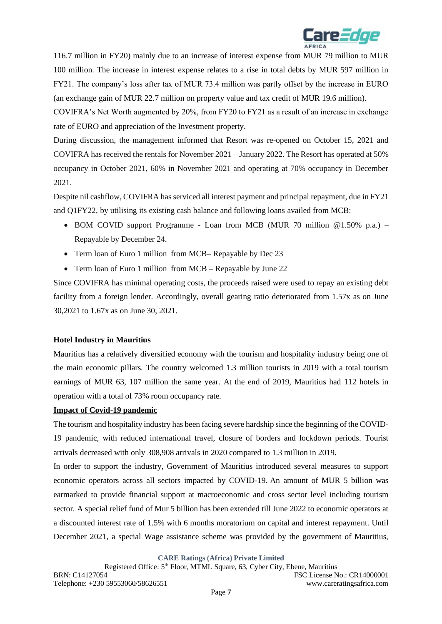

116.7 million in FY20) mainly due to an increase of interest expense from MUR 79 million to MUR 100 million. The increase in interest expense relates to a rise in total debts by MUR 597 million in FY21. The company's loss after tax of MUR 73.4 million was partly offset by the increase in EURO (an exchange gain of MUR 22.7 million on property value and tax credit of MUR 19.6 million).

COVIFRA's Net Worth augmented by 20%, from FY20 to FY21 as a result of an increase in exchange rate of EURO and appreciation of the Investment property.

During discussion, the management informed that Resort was re-opened on October 15, 2021 and COVIFRA has received the rentals for November 2021 – January 2022. The Resort has operated at 50% occupancy in October 2021, 60% in November 2021 and operating at 70% occupancy in December 2021.

Despite nil cashflow, COVIFRA has serviced all interest payment and principal repayment, due in FY21 and Q1FY22, by utilising its existing cash balance and following loans availed from MCB:

- BOM COVID support Programme Loan from MCB (MUR 70 million @1.50% p.a.) Repayable by December 24.
- Term loan of Euro 1 million from MCB– Repayable by Dec 23
- Term loan of Euro 1 million from MCB Repayable by June 22

Since COVIFRA has minimal operating costs, the proceeds raised were used to repay an existing debt facility from a foreign lender. Accordingly, overall gearing ratio deteriorated from 1.57x as on June 30,2021 to 1.67x as on June 30, 2021.

## **Hotel Industry in Mauritius**

Mauritius has a relatively diversified economy with the tourism and hospitality industry being one of the main economic pillars. The country welcomed 1.3 million tourists in 2019 with a total tourism earnings of MUR 63, 107 million the same year. At the end of 2019, Mauritius had 112 hotels in operation with a total of 73% room occupancy rate.

## **Impact of Covid-19 pandemic**

The tourism and hospitality industry has been facing severe hardship since the beginning of the COVID-19 pandemic, with reduced international travel, closure of borders and lockdown periods. Tourist arrivals decreased with only 308,908 arrivals in 2020 compared to 1.3 million in 2019.

In order to support the industry, Government of Mauritius introduced several measures to support economic operators across all sectors impacted by COVID-19. An amount of MUR 5 billion was earmarked to provide financial support at macroeconomic and cross sector level including tourism sector. A special relief fund of Mur 5 billion has been extended till June 2022 to economic operators at a discounted interest rate of 1.5% with 6 months moratorium on capital and interest repayment. Until December 2021, a special Wage assistance scheme was provided by the government of Mauritius,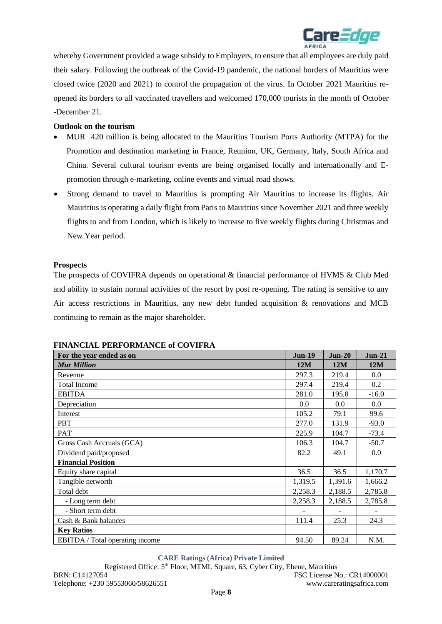

whereby Government provided a wage subsidy to Employers, to ensure that all employees are duly paid their salary. Following the outbreak of the Covid-19 pandemic, the national borders of Mauritius were closed twice (2020 and 2021) to control the propagation of the virus. In October 2021 Mauritius reopened its borders to all vaccinated travellers and welcomed 170,000 tourists in the month of October -December 21.

### **Outlook on the tourism**

- MUR 420 million is being allocated to the Mauritius Tourism Ports Authority (MTPA) for the Promotion and destination marketing in France, Reunion, UK, Germany, Italy, South Africa and China*.* Several cultural tourism events are being organised locally and internationally and Epromotion through e-marketing, online events and virtual road shows.
- Strong demand to travel to Mauritius is prompting Air Mauritius to increase its flights. Air Mauritius is operating a daily flight from Paris to Mauritius since November 2021 and three weekly flights to and from London, which is likely to increase to five weekly flights during Christmas and New Year period.

#### **Prospects**

The prospects of COVIFRA depends on operational & financial performance of HVMS & Club Med and ability to sustain normal activities of the resort by post re-opening. The rating is sensitive to any Air access restrictions in Mauritius, any new debt funded acquisition & renovations and MCB continuing to remain as the major shareholder.

| For the year ended as on        | <b>Jun-19</b> | $Jun-20$ | $Jun-21$ |
|---------------------------------|---------------|----------|----------|
| <b>Mur Million</b>              | 12M           | 12M      | 12M      |
| Revenue                         | 297.3         | 219.4    | 0.0      |
| <b>Total Income</b>             | 297.4         | 219.4    | 0.2      |
| <b>EBITDA</b>                   | 281.0         | 195.8    | $-16.0$  |
| Depreciation                    | 0.0           | 0.0      | 0.0      |
| Interest                        | 105.2         | 79.1     | 99.6     |
| <b>PBT</b>                      | 277.0         | 131.9    | $-93.0$  |
| PAT                             | 225.9         | 104.7    | $-73.4$  |
| Gross Cash Accruals (GCA)       | 106.3         | 104.7    | $-50.7$  |
| Dividend paid/proposed          | 82.2          | 49.1     | 0.0      |
| <b>Financial Position</b>       |               |          |          |
| Equity share capital            | 36.5          | 36.5     | 1,170.7  |
| Tangible networth               | 1,319.5       | 1,391.6  | 1,666.2  |
| Total debt                      | 2,258.3       | 2,188.5  | 2,785.8  |
| - Long term debt                | 2,258.3       | 2,188.5  | 2,785.8  |
| - Short term debt               |               |          |          |
| Cash & Bank balances            | 111.4         | 25.3     | 24.3     |
| <b>Key Ratios</b>               |               |          |          |
| EBITDA / Total operating income | 94.50         | 89.24    | N.M.     |

#### **FINANCIAL PERFORMANCE of COVIFRA**

**CARE Ratings (Africa) Private Limited**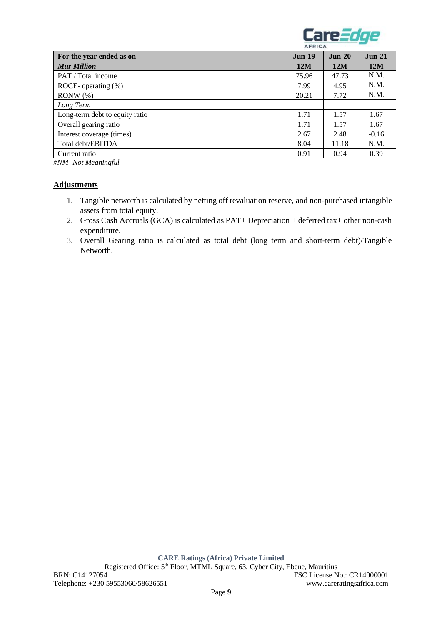

|                                | AFRICA   |          |          |
|--------------------------------|----------|----------|----------|
| For the year ended as on       | $Jun-19$ | $Jun-20$ | $Jun-21$ |
| <b>Mur Million</b>             | 12M      | 12M      | 12M      |
| PAT / Total income             | 75.96    | 47.73    | N.M.     |
| ROCE- operating $(\%)$         | 7.99     | 4.95     | N.M.     |
| $RONW$ $(\%)$                  | 20.21    | 7.72     | N.M.     |
| Long Term                      |          |          |          |
| Long-term debt to equity ratio | 1.71     | 1.57     | 1.67     |
| Overall gearing ratio          | 1.71     | 1.57     | 1.67     |
| Interest coverage (times)      | 2.67     | 2.48     | $-0.16$  |
| Total debt/EBITDA              | 8.04     | 11.18    | N.M.     |
| Current ratio                  | 0.91     | 0.94     | 0.39     |

*#NM- Not Meaningful* 

### **Adjustments**

- 1. Tangible networth is calculated by netting off revaluation reserve, and non-purchased intangible assets from total equity.
- 2. Gross Cash Accruals (GCA) is calculated as PAT+ Depreciation + deferred tax+ other non-cash expenditure.
- 3. Overall Gearing ratio is calculated as total debt (long term and short-term debt)/Tangible Networth.